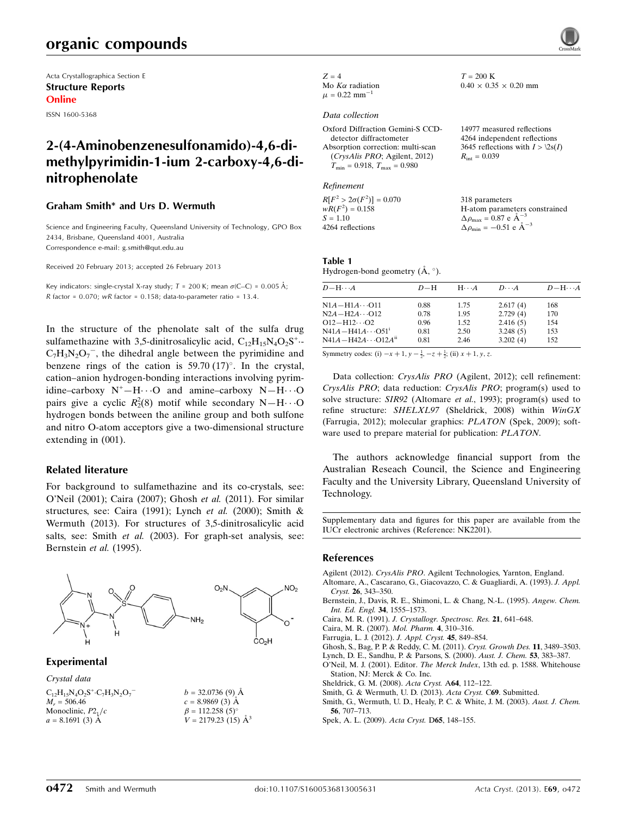# organic compounds

Acta Crystallographica Section E Structure Reports Online

ISSN 1600-5368

# 2-(4-Aminobenzenesulfonamido)-4,6-dimethylpyrimidin-1-ium 2-carboxy-4,6-dinitrophenolate

#### Graham Smith\* and Urs D. Wermuth

Science and Engineering Faculty, Queensland University of Technology, GPO Box 2434, Brisbane, Queensland 4001, Australia Correspondence e-mail: [g.smith@qut.edu.au](https://scripts.iucr.org/cgi-bin/cr.cgi?rm=pdfbb&cnor=nk2201&bbid=BB13)

Received 20 February 2013; accepted 26 February 2013

Key indicators: single-crystal X-ray study;  $T = 200$  K; mean  $\sigma$ (C–C) = 0.005 Å; R factor =  $0.070$ ; wR factor =  $0.158$ ; data-to-parameter ratio = 13.4.

In the structure of the phenolate salt of the sulfa drug sulfamethazine with 3,5-dinitrosalicylic acid,  $C_{12}H_{15}N_4O_2S^+$ .  $C_7H_3N_2O_7^-$ , the dihedral angle between the pyrimidine and benzene rings of the cation is 59.70  $(17)^{\circ}$ . In the crystal, cation–anion hydrogen-bonding interactions involving pyrimidine–carboxy  $N^+$ – $H \cdot \cdot \cdot O$  and amine–carboxy  $N - H \cdot \cdot \cdot O$ pairs give a cyclic  $R_2^2(8)$  motif while secondary N-H $\cdots$ O hydrogen bonds between the aniline group and both sulfone and nitro O-atom acceptors give a two-dimensional structure extending in (001).

#### Related literature

For background to sulfamethazine and its co-crystals, see: O'Neil (2001); Caira (2007); Ghosh et al. (2011). For similar structures, see: Caira (1991); Lynch et al. (2000); Smith & Wermuth (2013). For structures of 3,5-dinitrosalicylic acid salts, see: Smith et al. (2003). For graph-set analysis, see: Bernstein et al. (1995).



Experimental

Crystal data

| $C_{12}H_{15}N_4O_2S^+C_7H_3N_2O_7$ | $b = 32.0736(9)$ Å         |
|-------------------------------------|----------------------------|
| $M_r = 506.46$                      | $c = 8.9869(3)$ Å          |
| Monoclinic, $P21/c$                 | $\beta = 112.258(5)$ °     |
| $a = 8.1691(3)$ Å                   | $V = 2179.23$ (15) $\AA^3$ |

 $Z = 4$ Mo  $K\alpha$  radiation  $\mu = 0.22$  mm<sup>-1</sup>

#### Data collection

| Oxford Diffraction Gemini-S CCD-        | 14977 measured reflections        |
|-----------------------------------------|-----------------------------------|
| detector diffractometer                 | 4264 independent reflections      |
| Absorption correction: multi-scan       | 3645 reflections with $I > \2$ s( |
| (CrysAlis PRO; Agilent, 2012)           | $R_{\text{int}} = 0.039$          |
| $T_{\min} = 0.918$ , $T_{\max} = 0.980$ |                                   |
|                                         |                                   |

#### Refinement

 $R[F^2 > 2\sigma(F^2)] = 0.070$  $wR(F^2) = 0.158$  $S = 1.10$ 4264 reflections 318 parameters H-atom parameters constrained  $\Delta \rho_{\text{max}} = 0.87 \text{ e A}^{-3}$  $\Delta \rho_{\text{min}} = -0.51$  e  $\rm{\AA}^{-3}$ 

 $T = 200$  K

 $0.40 \times 0.35 \times 0.20$  mm

 $> 2s(I)$ 

#### Table 1

Hydrogen-bond geometry  $(\mathring{A}, \degree)$ .

| $D - H \cdots A$                      | $D-H$ | $H\cdots A$ | $D\cdots A$ | $D - H \cdots A$ |
|---------------------------------------|-------|-------------|-------------|------------------|
| $N1A - H1A \cdots 011$                | 0.88  | 1.75        | 2.617(4)    | 168              |
| $N2A - H2A \cdots O12$                | 0.78  | 1.95        | 2.729(4)    | 170              |
| $O12 - H12 \cdots O2$                 | 0.96  | 1.52        | 2.416(5)    | 154              |
| $N41A - H41A \cdots O51$ <sup>1</sup> | 0.81  | 2.50        | 3.248(5)    | 153              |
| $N41A - H42A \cdots O12A^{ii}$        | 0.81  | 2.46        | 3.202(4)    | 152              |

Symmetry codes: (i)  $-x + 1$ ,  $y - \frac{1}{2}$ ,  $-z + \frac{1}{2}$ ; (ii)  $x + 1$ ,  $y$ , z.

Data collection: CrysAlis PRO (Agilent, 2012); cell refinement: CrysAlis PRO; data reduction: CrysAlis PRO; program(s) used to solve structure: SIR92 (Altomare et al., 1993); program(s) used to refine structure: SHELXL97 (Sheldrick, 2008) within WinGX (Farrugia, 2012); molecular graphics: PLATON (Spek, 2009); software used to prepare material for publication: PLATON.

The authors acknowledge financial support from the Australian Reseach Council, the Science and Engineering Faculty and the University Library, Queensland University of Technology.

Supplementary data and figures for this paper are available from the IUCr electronic archives (Reference: NK2201).

#### References

Agilent (2012). CrysAlis PRO[. Agilent Technologies, Yarnton, England.](https://scripts.iucr.org/cgi-bin/cr.cgi?rm=pdfbb&cnor=nk2201&bbid=BB1)

- [Altomare, A., Cascarano, G., Giacovazzo, C. & Guagliardi, A. \(1993\).](https://scripts.iucr.org/cgi-bin/cr.cgi?rm=pdfbb&cnor=nk2201&bbid=BB2) J. Appl. Cryst. 26[, 343–350.](https://scripts.iucr.org/cgi-bin/cr.cgi?rm=pdfbb&cnor=nk2201&bbid=BB2)
- [Bernstein, J., Davis, R. E., Shimoni, L. & Chang, N.-L. \(1995\).](https://scripts.iucr.org/cgi-bin/cr.cgi?rm=pdfbb&cnor=nk2201&bbid=BB3) Angew. Chem. [Int. Ed. Engl.](https://scripts.iucr.org/cgi-bin/cr.cgi?rm=pdfbb&cnor=nk2201&bbid=BB3) 34, 1555–1573.
- Caira, M. R. (1991). [J. Crystallogr. Spectrosc. Res.](https://scripts.iucr.org/cgi-bin/cr.cgi?rm=pdfbb&cnor=nk2201&bbid=BB4) 21, 641–648.

[Caira, M. R. \(2007\).](https://scripts.iucr.org/cgi-bin/cr.cgi?rm=pdfbb&cnor=nk2201&bbid=BB5) Mol. Pharm. 4, 310–316.

[Farrugia, L. J. \(2012\).](https://scripts.iucr.org/cgi-bin/cr.cgi?rm=pdfbb&cnor=nk2201&bbid=BB6) J. Appl. Cryst. 45, 849–854.

[Ghosh, S., Bag, P. P. & Reddy, C. M. \(2011\).](https://scripts.iucr.org/cgi-bin/cr.cgi?rm=pdfbb&cnor=nk2201&bbid=BB7) Cryst. Growth Des. 11, 3489–3503.

- [Lynch, D. E., Sandhu, P. & Parsons, S. \(2000\).](https://scripts.iucr.org/cgi-bin/cr.cgi?rm=pdfbb&cnor=nk2201&bbid=BB8) Aust. J. Chem. 53, 383–387.
- O'Neil, M. J. (2001). Editor. The Merck Index[, 13th ed. p. 1588. Whitehouse](https://scripts.iucr.org/cgi-bin/cr.cgi?rm=pdfbb&cnor=nk2201&bbid=BB9) [Station, NJ: Merck & Co. Inc.](https://scripts.iucr.org/cgi-bin/cr.cgi?rm=pdfbb&cnor=nk2201&bbid=BB9)
- [Sheldrick, G. M. \(2008\).](https://scripts.iucr.org/cgi-bin/cr.cgi?rm=pdfbb&cnor=nk2201&bbid=BB10) Acta Cryst. A64, 112–122.
- [Smith, G. & Wermuth, U. D. \(2013\).](https://scripts.iucr.org/cgi-bin/cr.cgi?rm=pdfbb&cnor=nk2201&bbid=BB11) Acta Cryst. C69. Submitted.
- [Smith, G., Wermuth, U. D., Healy, P. C. & White, J. M. \(2003\).](https://scripts.iucr.org/cgi-bin/cr.cgi?rm=pdfbb&cnor=nk2201&bbid=BB12) Aust. J. Chem. 56[, 707–713.](https://scripts.iucr.org/cgi-bin/cr.cgi?rm=pdfbb&cnor=nk2201&bbid=BB12)
- [Spek, A. L. \(2009\).](https://scripts.iucr.org/cgi-bin/cr.cgi?rm=pdfbb&cnor=nk2201&bbid=BB13) Acta Cryst. D65, 148–155.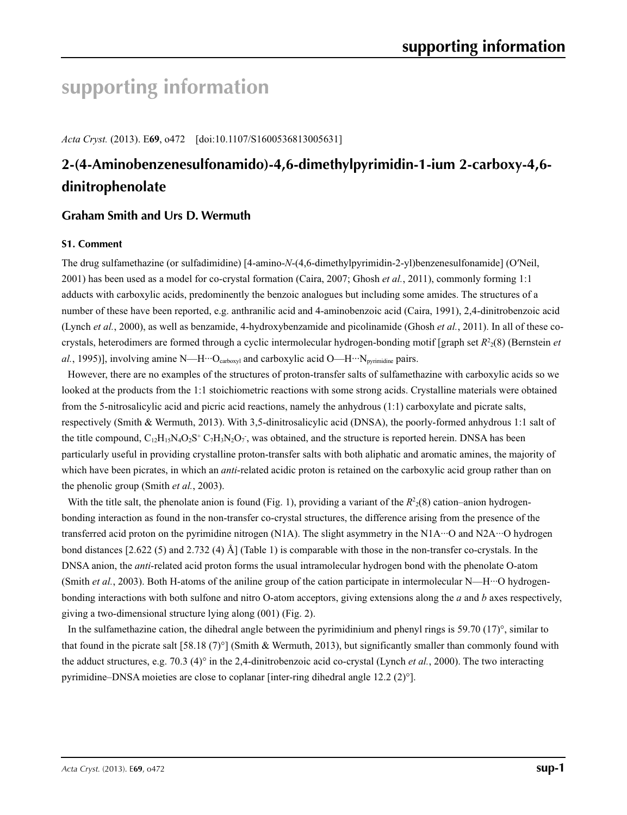# **supporting information**

*Acta Cryst.* (2013). E**69**, o472 [doi:10.1107/S1600536813005631]

# **2-(4-Aminobenzenesulfonamido)-4,6-dimethylpyrimidin-1-ium 2-carboxy-4,6 dinitrophenolate**

## **Graham Smith and Urs D. Wermuth**

## **S1. Comment**

The drug sulfamethazine (or sulfadimidine) [4-amino-*N*-(4,6-dimethylpyrimidin-2-yl)benzenesulfonamide] (O′Neil, 2001) has been used as a model for co-crystal formation (Caira, 2007; Ghosh *et al.*, 2011), commonly forming 1:1 adducts with carboxylic acids, predominently the benzoic analogues but including some amides. The structures of a number of these have been reported, e.g. anthranilic acid and 4-aminobenzoic acid (Caira, 1991), 2,4-dinitrobenzoic acid (Lynch *et al.*, 2000), as well as benzamide, 4-hydroxybenzamide and picolinamide (Ghosh *et al.*, 2011). In all of these cocrystals, heterodimers are formed through a cyclic intermolecular hydrogen-bonding motif [graph set  $R<sup>2</sup>(8)$  (Bernstein *et* al., 1995)], involving amine N—H···O<sub>carboxyl</sub> and carboxylic acid O—H···N<sub>pyrimidine</sub> pairs.

However, there are no examples of the structures of proton-transfer salts of sulfamethazine with carboxylic acids so we looked at the products from the 1:1 stoichiometric reactions with some strong acids. Crystalline materials were obtained from the 5-nitrosalicylic acid and picric acid reactions, namely the anhydrous (1:1) carboxylate and picrate salts, respectively (Smith & Wermuth, 2013). With 3,5-dinitrosalicylic acid (DNSA), the poorly-formed anhydrous 1:1 salt of the title compound,  $C_{12}H_{15}N_4O_2S^+C_7H_3N_2O_7$ , was obtained, and the structure is reported herein. DNSA has been particularly useful in providing crystalline proton-transfer salts with both aliphatic and aromatic amines, the majority of which have been picrates, in which an *anti*-related acidic proton is retained on the carboxylic acid group rather than on the phenolic group (Smith *et al.*, 2003).

With the title salt, the phenolate anion is found (Fig. 1), providing a variant of the  $R<sup>2</sup><sub>2</sub>(8)$  cation–anion hydrogenbonding interaction as found in the non-transfer co-crystal structures, the difference arising from the presence of the transferred acid proton on the pyrimidine nitrogen (N1A). The slight asymmetry in the N1A···O and N2A···O hydrogen bond distances [2.622 (5) and 2.732 (4) Å] (Table 1) is comparable with those in the non-transfer co-crystals. In the DNSA anion, the *anti*-related acid proton forms the usual intramolecular hydrogen bond with the phenolate O-atom (Smith *et al.*, 2003). Both H-atoms of the aniline group of the cation participate in intermolecular N—H···O hydrogenbonding interactions with both sulfone and nitro O-atom acceptors, giving extensions along the *a* and *b* axes respectively, giving a two-dimensional structure lying along (001) (Fig. 2).

In the sulfamethazine cation, the dihedral angle between the pyrimidinium and phenyl rings is 59.70 (17)°, similar to that found in the picrate salt [58.18 (7)°] (Smith & Wermuth, 2013), but significantly smaller than commonly found with the adduct structures, e.g. 70.3 (4)° in the 2,4-dinitrobenzoic acid co-crystal (Lynch *et al.*, 2000). The two interacting pyrimidine–DNSA moieties are close to coplanar [inter-ring dihedral angle 12.2 (2)°].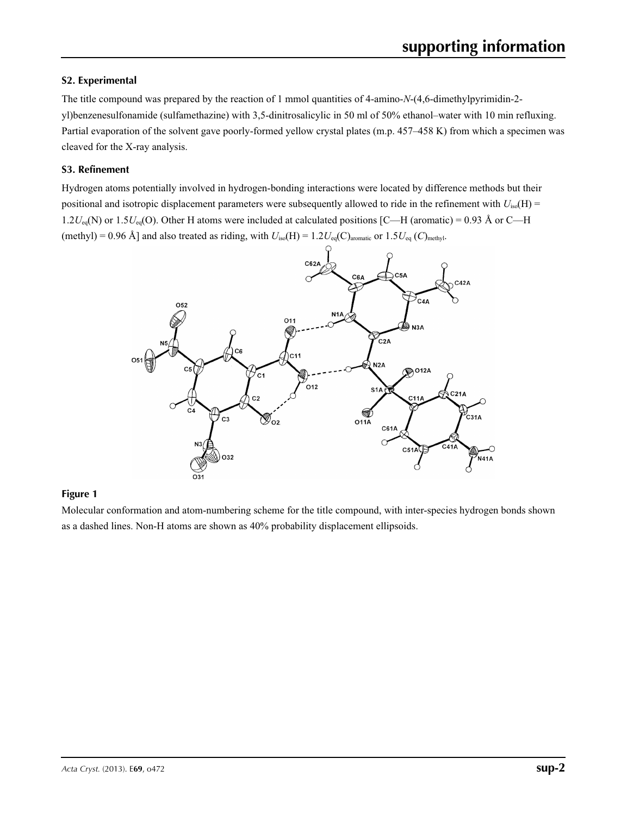## **S2. Experimental**

The title compound was prepared by the reaction of 1 mmol quantities of 4-amino-*N*-(4,6-dimethylpyrimidin-2 yl)benzenesulfonamide (sulfamethazine) with 3,5-dinitrosalicylic in 50 ml of 50% ethanol–water with 10 min refluxing. Partial evaporation of the solvent gave poorly-formed yellow crystal plates (m.p. 457–458 K) from which a specimen was cleaved for the X-ray analysis.

## **S3. Refinement**

Hydrogen atoms potentially involved in hydrogen-bonding interactions were located by difference methods but their positional and isotropic displacement parameters were subsequently allowed to ride in the refinement with *U*iso(H) = 1.2 $U_{eq}(N)$  or 1.5 $U_{eq}(O)$ . Other H atoms were included at calculated positions [C—H (aromatic) = 0.93 Å or C—H (methyl) = 0.96 Å] and also treated as riding, with  $U_{iso}(H) = 1.2U_{eq}(C)_{\text{aromatic}}$  or  $1.5U_{eq}(C)_{\text{methyl}}$ .



## **Figure 1**

Molecular conformation and atom-numbering scheme for the title compound, with inter-species hydrogen bonds shown as a dashed lines. Non-H atoms are shown as 40% probability displacement ellipsoids.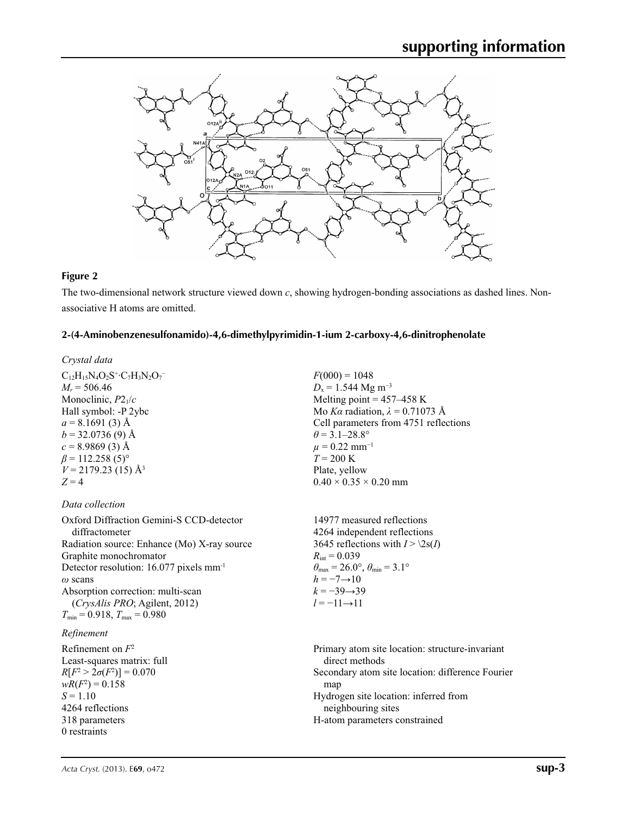

## **Figure 2**

The two-dimensional network structure viewed down *c*, showing hydrogen-bonding associations as dashed lines. Nonassociative H atoms are omitted.

#### **2-(4-Aminobenzenesulfonamido)-4,6-dimethylpyrimidin-1-ium 2-carboxy-4,6-dinitrophenolate**

#### *Crystal data*

 $C_{12}H_{15}N_4O_2S^+C_7H_3N_2O_7^ M_r = 506.46$ Monoclinic, *P*21/*c* Hall symbol: -P 2ybc  $a = 8.1691(3)$  Å  $b = 32.0736(9)$  Å  $c = 8.9869(3)$  Å  $\beta$  = 112.258 (5)<sup>o</sup>  $V = 2179.23(15)$  Å<sup>3</sup>  $Z = 4$ 

## *Data collection*

Oxford Diffraction Gemini-S CCD-detector diffractometer Radiation source: Enhance (Mo) X-ray source Graphite monochromator Detector resolution: 16.077 pixels mm-1 *ω* scans Absorption correction: multi-scan (*CrysAlis PRO*; Agilent, 2012)  $T_{\text{min}} = 0.918$ ,  $T_{\text{max}} = 0.980$ 

## *Refinement*

Refinement on *F*<sup>2</sup> Least-squares matrix: full *R*[ $F^2 > 2\sigma(F^2)$ ] = 0.070  $wR(F^2) = 0.158$  $S = 1.10$ 4264 reflections 318 parameters 0 restraints

 $F(000) = 1048$  $D_x = 1.544 \text{ Mg m}^{-3}$ Melting point  $= 457 - 458$  K Mo *Kα* radiation,  $\lambda = 0.71073$  Å Cell parameters from 4751 reflections  $\theta$  = 3.1–28.8°  $\mu$  = 0.22 mm<sup>-1</sup>  $T = 200 \text{ K}$ Plate, yellow  $0.40 \times 0.35 \times 0.20$  mm

14977 measured reflections 4264 independent reflections 3645 reflections with  $I > \2s(I)$  $R_{\text{int}} = 0.039$  $\theta_{\text{max}} = 26.0^{\circ}, \theta_{\text{min}} = 3.1^{\circ}$  $h = -7 \rightarrow 10$  $k = -39 \rightarrow 39$ *l* = −11→11

Primary atom site location: structure-invariant direct methods Secondary atom site location: difference Fourier map Hydrogen site location: inferred from neighbouring sites H-atom parameters constrained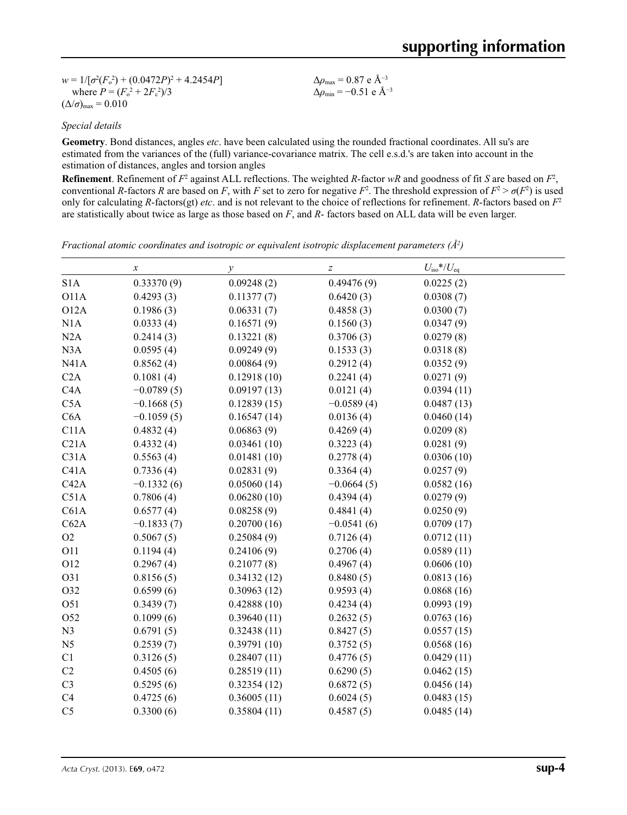$w = 1/[\sigma^2 (F_o^2) + (0.0472P)^2 + 4.2454P]$ where  $P = (F_o^2 + 2F_c^2)/3$  $(\Delta/\sigma)_{\text{max}} = 0.010$ 

Δ*ρ*max = 0.87 e Å−3 Δ*ρ*min = −0.51 e Å−3

## *Special details*

**Geometry**. Bond distances, angles *etc*. have been calculated using the rounded fractional coordinates. All su's are estimated from the variances of the (full) variance-covariance matrix. The cell e.s.d.'s are taken into account in the estimation of distances, angles and torsion angles

**Refinement**. Refinement of  $F^2$  against ALL reflections. The weighted R-factor wR and goodness of fit *S* are based on  $F^2$ , conventional *R*-factors *R* are based on *F*, with *F* set to zero for negative  $F^2$ . The threshold expression of  $F^2 > \sigma(F^2)$  is used only for calculating *R*-factors(gt) *etc*. and is not relevant to the choice of reflections for refinement. *R*-factors based on *F*<sup>2</sup> are statistically about twice as large as those based on *F*, and *R*- factors based on ALL data will be even larger.

| Fractional atomic coordinates and isotropic or equivalent isotropic displacement parameters $(\hat{A}^2)$ |  |  |  |  |  |  |
|-----------------------------------------------------------------------------------------------------------|--|--|--|--|--|--|
|-----------------------------------------------------------------------------------------------------------|--|--|--|--|--|--|

|                   | $\boldsymbol{x}$ | у           | $\boldsymbol{Z}$ | $U_{\rm iso}*/U_{\rm eq}$ |  |
|-------------------|------------------|-------------|------------------|---------------------------|--|
| S <sub>1</sub> A  | 0.33370(9)       | 0.09248(2)  | 0.49476(9)       | 0.0225(2)                 |  |
| O11A              | 0.4293(3)        | 0.11377(7)  | 0.6420(3)        | 0.0308(7)                 |  |
| O <sub>12</sub> A | 0.1986(3)        | 0.06331(7)  | 0.4858(3)        | 0.0300(7)                 |  |
| N1A               | 0.0333(4)        | 0.16571(9)  | 0.1560(3)        | 0.0347(9)                 |  |
| N2A               | 0.2414(3)        | 0.13221(8)  | 0.3706(3)        | 0.0279(8)                 |  |
| N3A               | 0.0595(4)        | 0.09249(9)  | 0.1533(3)        | 0.0318(8)                 |  |
| N41A              | 0.8562(4)        | 0.00864(9)  | 0.2912(4)        | 0.0352(9)                 |  |
| C2A               | 0.1081(4)        | 0.12918(10) | 0.2241(4)        | 0.0271(9)                 |  |
| C4A               | $-0.0789(5)$     | 0.09197(13) | 0.0121(4)        | 0.0394(11)                |  |
| C5A               | $-0.1668(5)$     | 0.12839(15) | $-0.0589(4)$     | 0.0487(13)                |  |
| C <sub>6</sub> A  | $-0.1059(5)$     | 0.16547(14) | 0.0136(4)        | 0.0460(14)                |  |
| C11A              | 0.4832(4)        | 0.06863(9)  | 0.4269(4)        | 0.0209(8)                 |  |
| C21A              | 0.4332(4)        | 0.03461(10) | 0.3223(4)        | 0.0281(9)                 |  |
| C31A              | 0.5563(4)        | 0.01481(10) | 0.2778(4)        | 0.0306(10)                |  |
| C41A              | 0.7336(4)        | 0.02831(9)  | 0.3364(4)        | 0.0257(9)                 |  |
| C42A              | $-0.1332(6)$     | 0.05060(14) | $-0.0664(5)$     | 0.0582(16)                |  |
| C51A              | 0.7806(4)        | 0.06280(10) | 0.4394(4)        | 0.0279(9)                 |  |
| C61A              | 0.6577(4)        | 0.08258(9)  | 0.4841(4)        | 0.0250(9)                 |  |
| C62A              | $-0.1833(7)$     | 0.20700(16) | $-0.0541(6)$     | 0.0709(17)                |  |
| O2                | 0.5067(5)        | 0.25084(9)  | 0.7126(4)        | 0.0712(11)                |  |
| O11               | 0.1194(4)        | 0.24106(9)  | 0.2706(4)        | 0.0589(11)                |  |
| O12               | 0.2967(4)        | 0.21077(8)  | 0.4967(4)        | 0.0606(10)                |  |
| O31               | 0.8156(5)        | 0.34132(12) | 0.8480(5)        | 0.0813(16)                |  |
| O32               | 0.6599(6)        | 0.30963(12) | 0.9593(4)        | 0.0868(16)                |  |
| O51               | 0.3439(7)        | 0.42888(10) | 0.4234(4)        | 0.0993(19)                |  |
| O52               | 0.1099(6)        | 0.39640(11) | 0.2632(5)        | 0.0763(16)                |  |
| N3                | 0.6791(5)        | 0.32438(11) | 0.8427(5)        | 0.0557(15)                |  |
| N <sub>5</sub>    | 0.2539(7)        | 0.39791(10) | 0.3752(5)        | 0.0568(16)                |  |
| C1                | 0.3126(5)        | 0.28407(11) | 0.4776(5)        | 0.0429(11)                |  |
| C2                | 0.4505(6)        | 0.28519(11) | 0.6290(5)        | 0.0462(15)                |  |
| C <sub>3</sub>    | 0.5295(6)        | 0.32354(12) | 0.6872(5)        | 0.0456(14)                |  |
| C <sub>4</sub>    | 0.4725(6)        | 0.36005(11) | 0.6024(5)        | 0.0483(15)                |  |
| C <sub>5</sub>    | 0.3300(6)        | 0.35804(11) | 0.4587(5)        | 0.0485(14)                |  |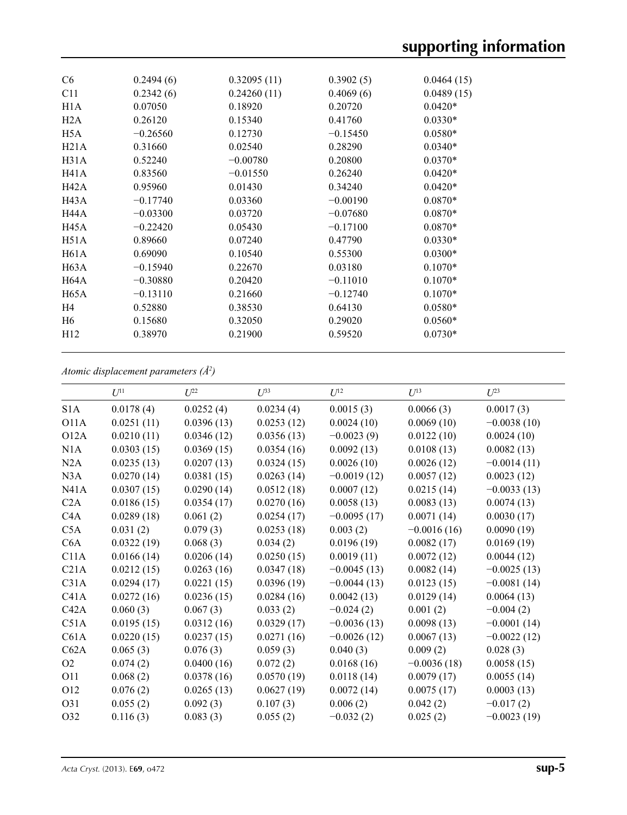| C <sub>6</sub> | 0.2494(6)  | 0.32095(11) | 0.3902(5)  | 0.0464(15) |
|----------------|------------|-------------|------------|------------|
| C11            | 0.2342(6)  | 0.24260(11) | 0.4069(6)  | 0.0489(15) |
| H1A            | 0.07050    | 0.18920     | 0.20720    | $0.0420*$  |
| H2A            | 0.26120    | 0.15340     | 0.41760    | $0.0330*$  |
| H5A            | $-0.26560$ | 0.12730     | $-0.15450$ | $0.0580*$  |
| H21A           | 0.31660    | 0.02540     | 0.28290    | $0.0340*$  |
| H31A           | 0.52240    | $-0.00780$  | 0.20800    | $0.0370*$  |
| H41A           | 0.83560    | $-0.01550$  | 0.26240    | $0.0420*$  |
| H42A           | 0.95960    | 0.01430     | 0.34240    | $0.0420*$  |
| H43A           | $-0.17740$ | 0.03360     | $-0.00190$ | $0.0870*$  |
| <b>H44A</b>    | $-0.03300$ | 0.03720     | $-0.07680$ | $0.0870*$  |
| H45A           | $-0.22420$ | 0.05430     | $-0.17100$ | $0.0870*$  |
| H51A           | 0.89660    | 0.07240     | 0.47790    | $0.0330*$  |
| H61A           | 0.69090    | 0.10540     | 0.55300    | $0.0300*$  |
| H63A           | $-0.15940$ | 0.22670     | 0.03180    | $0.1070*$  |
| H64A           | $-0.30880$ | 0.20420     | $-0.11010$ | $0.1070*$  |
| H65A           | $-0.13110$ | 0.21660     | $-0.12740$ | $0.1070*$  |
| H <sub>4</sub> | 0.52880    | 0.38530     | 0.64130    | $0.0580*$  |
| H <sub>6</sub> | 0.15680    | 0.32050     | 0.29020    | $0.0560*$  |
| H12            | 0.38970    | 0.21900     | 0.59520    | $0.0730*$  |
|                |            |             |            |            |

## *Atomic displacement parameters (Å2 )*

|                  | $U^{11}$   | $U^{22}$   | $U^{33}$   | $U^{12}$      | $U^{13}$      | $U^{23}$      |
|------------------|------------|------------|------------|---------------|---------------|---------------|
| S <sub>1</sub> A | 0.0178(4)  | 0.0252(4)  | 0.0234(4)  | 0.0015(3)     | 0.0066(3)     | 0.0017(3)     |
| O11A             | 0.0251(11) | 0.0396(13) | 0.0253(12) | 0.0024(10)    | 0.0069(10)    | $-0.0038(10)$ |
| O12A             | 0.0210(11) | 0.0346(12) | 0.0356(13) | $-0.0023(9)$  | 0.0122(10)    | 0.0024(10)    |
| N1A              | 0.0303(15) | 0.0369(15) | 0.0354(16) | 0.0092(13)    | 0.0108(13)    | 0.0082(13)    |
| N2A              | 0.0235(13) | 0.0207(13) | 0.0324(15) | 0.0026(10)    | 0.0026(12)    | $-0.0014(11)$ |
| N3A              | 0.0270(14) | 0.0381(15) | 0.0263(14) | $-0.0019(12)$ | 0.0057(12)    | 0.0023(12)    |
| N41A             | 0.0307(15) | 0.0290(14) | 0.0512(18) | 0.0007(12)    | 0.0215(14)    | $-0.0033(13)$ |
| C2A              | 0.0186(15) | 0.0354(17) | 0.0270(16) | 0.0058(13)    | 0.0083(13)    | 0.0074(13)    |
| C <sub>4</sub> A | 0.0289(18) | 0.061(2)   | 0.0254(17) | $-0.0095(17)$ | 0.0071(14)    | 0.0030(17)    |
| C5A              | 0.031(2)   | 0.079(3)   | 0.0253(18) | 0.003(2)      | $-0.0016(16)$ | 0.0090(19)    |
| C6A              | 0.0322(19) | 0.068(3)   | 0.034(2)   | 0.0196(19)    | 0.0082(17)    | 0.0169(19)    |
| C11A             | 0.0166(14) | 0.0206(14) | 0.0250(15) | 0.0019(11)    | 0.0072(12)    | 0.0044(12)    |
| C21A             | 0.0212(15) | 0.0263(16) | 0.0347(18) | $-0.0045(13)$ | 0.0082(14)    | $-0.0025(13)$ |
| C31A             | 0.0294(17) | 0.0221(15) | 0.0396(19) | $-0.0044(13)$ | 0.0123(15)    | $-0.0081(14)$ |
| C41A             | 0.0272(16) | 0.0236(15) | 0.0284(16) | 0.0042(13)    | 0.0129(14)    | 0.0064(13)    |
| C42A             | 0.060(3)   | 0.067(3)   | 0.033(2)   | $-0.024(2)$   | 0.001(2)      | $-0.004(2)$   |
| C51A             | 0.0195(15) | 0.0312(16) | 0.0329(17) | $-0.0036(13)$ | 0.0098(13)    | $-0.0001(14)$ |
| C61A             | 0.0220(15) | 0.0237(15) | 0.0271(16) | $-0.0026(12)$ | 0.0067(13)    | $-0.0022(12)$ |
| C62A             | 0.065(3)   | 0.076(3)   | 0.059(3)   | 0.040(3)      | 0.009(2)      | 0.028(3)      |
| O2               | 0.074(2)   | 0.0400(16) | 0.072(2)   | 0.0168(16)    | $-0.0036(18)$ | 0.0058(15)    |
| <b>O11</b>       | 0.068(2)   | 0.0378(16) | 0.0570(19) | 0.0118(14)    | 0.0079(17)    | 0.0055(14)    |
| O12              | 0.076(2)   | 0.0265(13) | 0.0627(19) | 0.0072(14)    | 0.0075(17)    | 0.0003(13)    |
| O31              | 0.055(2)   | 0.092(3)   | 0.107(3)   | 0.006(2)      | 0.042(2)      | $-0.017(2)$   |
| O32              | 0.116(3)   | 0.083(3)   | 0.055(2)   | $-0.032(2)$   | 0.025(2)      | $-0.0023(19)$ |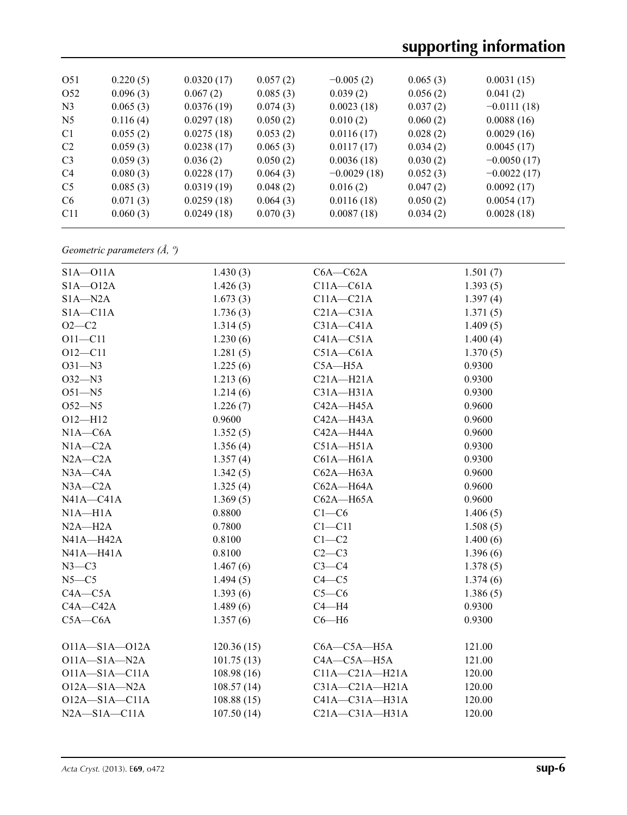| 0.220(5) | 0.0320(17) | 0.057(2) | $-0.005(2)$   | 0.065(3) | 0.0031(15)    |
|----------|------------|----------|---------------|----------|---------------|
| 0.096(3) | 0.067(2)   | 0.085(3) | 0.039(2)      | 0.056(2) | 0.041(2)      |
| 0.065(3) | 0.0376(19) | 0.074(3) | 0.0023(18)    | 0.037(2) | $-0.0111(18)$ |
| 0.116(4) | 0.0297(18) | 0.050(2) | 0.010(2)      | 0.060(2) | 0.0088(16)    |
| 0.055(2) | 0.0275(18) | 0.053(2) | 0.0116(17)    | 0.028(2) | 0.0029(16)    |
| 0.059(3) | 0.0238(17) | 0.065(3) | 0.0117(17)    | 0.034(2) | 0.0045(17)    |
| 0.059(3) | 0.036(2)   | 0.050(2) | 0.0036(18)    | 0.030(2) | $-0.0050(17)$ |
| 0.080(3) | 0.0228(17) | 0.064(3) | $-0.0029(18)$ | 0.052(3) | $-0.0022(17)$ |
| 0.085(3) | 0.0319(19) | 0.048(2) | 0.016(2)      | 0.047(2) | 0.0092(17)    |
| 0.071(3) | 0.0259(18) | 0.064(3) | 0.0116(18)    | 0.050(2) | 0.0054(17)    |
| 0.060(3) | 0.0249(18) | 0.070(3) | 0.0087(18)    |          | 0.0028(18)    |
|          |            |          |               |          | 0.034(2)      |

*Geometric parameters (Å, º)*

| $S1A - O11A$        | 1.430(3)   | $C6A - C62A$         | 1.501(7) |
|---------------------|------------|----------------------|----------|
| $S1A - 012A$        | 1.426(3)   | $C11A - C61A$        | 1.393(5) |
| $S1A - N2A$         | 1.673(3)   | $C11A - C21A$        | 1.397(4) |
| $S1A - C11A$        | 1.736(3)   | $C21A - C31A$        | 1.371(5) |
| $O2 - C2$           | 1.314(5)   | $C31A - C41A$        | 1.409(5) |
| $O11 - C11$         | 1.230(6)   | $C41A - C51A$        | 1.400(4) |
| $O12 - C11$         | 1.281(5)   | $C51A - C61A$        | 1.370(5) |
| $O31 - N3$          | 1.225(6)   | $C5A - H5A$          | 0.9300   |
| $O32 - N3$          | 1.213(6)   | $C21A - H21A$        | 0.9300   |
| $O51 - N5$          | 1.214(6)   | $C31A - H31A$        | 0.9300   |
| $O52 - N5$          | 1.226(7)   | C42A-H45A            | 0.9600   |
| $O12 - H12$         | 0.9600     | $C42A - H43A$        | 0.9600   |
| $N1A - C6A$         | 1.352(5)   | C42A-H44A            | 0.9600   |
| $N1A - C2A$         | 1.356(4)   | $C51A - H51A$        | 0.9300   |
| $N2A - C2A$         | 1.357(4)   | $C61A - H61A$        | 0.9300   |
| $N3A - C4A$         | 1.342(5)   | $C62A - H63A$        | 0.9600   |
| $N3A - C2A$         | 1.325(4)   | $C62A - H64A$        | 0.9600   |
| $N41A - C41A$       | 1.369(5)   | $C62A - H65A$        | 0.9600   |
| $NIA-H1A$           | 0.8800     | $C1-C6$              | 1.406(5) |
| $N2A - H2A$         | 0.7800     | $C1 - C11$           | 1.508(5) |
| $N41A - H42A$       | 0.8100     | $C1-C2$              | 1.400(6) |
| N41A-H41A           | 0.8100     | $C2-C3$              | 1.396(6) |
| $N3-C3$             | 1.467(6)   | $C3-C4$              | 1.378(5) |
| $N5 - C5$           | 1.494(5)   | $C4 - C5$            | 1.374(6) |
| $C4A - C5A$         | 1.393(6)   | $C5-C6$              | 1.386(5) |
| $C4A - C42A$        | 1.489(6)   | $C4 - H4$            | 0.9300   |
| $C5A - C6A$         | 1.357(6)   | $C6 - H6$            | 0.9300   |
|                     |            |                      |          |
| $O11A - S1A - O12A$ | 120.36(15) | $C6A - C5A - H5A$    | 121.00   |
| $O11A - S1A - N2A$  | 101.75(13) | C4A-C5A-H5A          | 121.00   |
| $O11A - S1A - C11A$ | 108.98(16) | $C11A - C21A - H21A$ | 120.00   |
| $O12A - S1A - N2A$  | 108.57(14) | $C31A - C21A - H21A$ | 120.00   |
| $O12A - S1A - C11A$ | 108.88(15) | $C41A - C31A - H31A$ | 120.00   |
| $N2A - S1A - C11A$  | 107.50(14) | $C21A - C31A - H31A$ | 120.00   |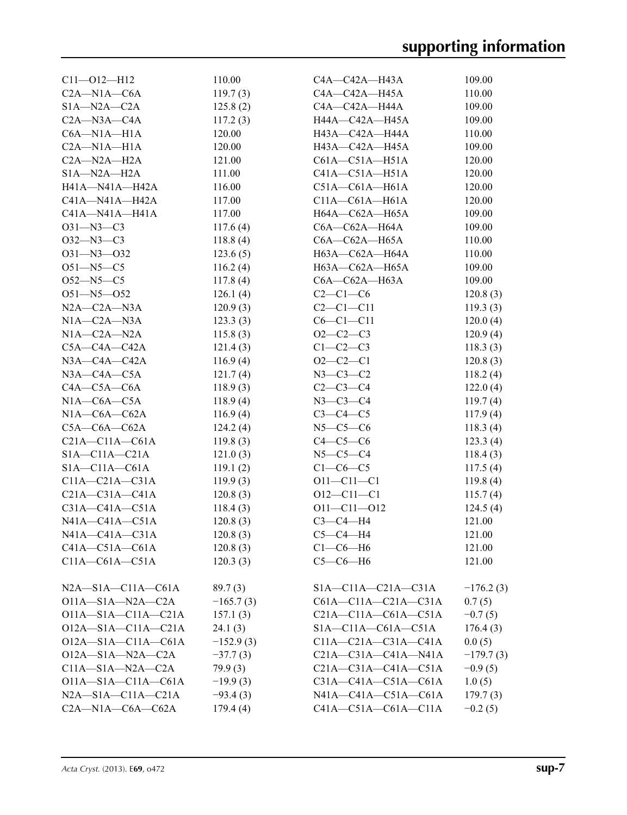| $Cl1 - O12 - H12$          | 110.00      | C4A-C42A-H43A               | 109.00      |
|----------------------------|-------------|-----------------------------|-------------|
| $C2A - N1A - C6A$          | 119.7(3)    | C4A—C42A—H45A               | 110.00      |
| $S1A - N2A - C2A$          | 125.8(2)    | C4A—C42A—H44A               | 109.00      |
| $C2A - N3A - C4A$          | 117.2(3)    | H44A-C42A-H45A              | 109.00      |
| $C6A - N1A - H1A$          | 120.00      | H43A-C42A-H44A              | 110.00      |
| $C2A-M1A-H1A$              | 120.00      | H43A-C42A-H45A              | 109.00      |
| $C2A-M2A-H2A$              | 121.00      | $C61A - C51A - H51A$        | 120.00      |
| $SIA-M2A-H2A$              | 111.00      | $C41A - C51A - H51A$        | 120.00      |
| H41A-N41A-H42A             | 116.00      | $C51A - C61A - H61A$        | 120.00      |
| $C41A - N41A - H42A$       | 117.00      | $C11A - C61A - H61A$        | 120.00      |
| $C41A - N41A - H41A$       | 117.00      | H64A-C62A-H65A              | 109.00      |
| $O31 - N3 - C3$            | 117.6(4)    | $C6A - C62A - H64A$         | 109.00      |
| $O32 - N3 - C3$            | 118.8(4)    | $C6A - C62A - H65A$         | 110.00      |
| $O31 - N3 - O32$           | 123.6(5)    | H63A-C62A-H64A              | 110.00      |
| $O51 - N5 - C5$            | 116.2(4)    | H63A-C62A-H65A              | 109.00      |
| $O52 - N5 - C5$            | 117.8(4)    | $C6A - C62A - H63A$         | 109.00      |
| O51-N5-O52                 | 126.1(4)    | $C2-C1-C6$                  | 120.8(3)    |
| $N2A - C2A - N3A$          | 120.9(3)    | $C2-C1-C11$                 | 119.3(3)    |
| $N1A - C2A - N3A$          | 123.3(3)    | $C6-C1-C11$                 | 120.0(4)    |
| $N1A - C2A - N2A$          | 115.8(3)    | $O2-C2-C3$                  | 120.9(4)    |
| $C5A - C4A - C42A$         | 121.4(3)    | $C1-C2-C3$                  | 118.3(3)    |
| $N3A - C4A - C42A$         | 116.9(4)    | $O2 - C2 - C1$              | 120.8(3)    |
| $N3A - C4A - C5A$          | 121.7(4)    | $N3 - C3 - C2$              | 118.2(4)    |
| $C4A - C5A - C6A$          | 118.9(3)    | $C2 - C3 - C4$              | 122.0(4)    |
| $N1A - C6A - C5A$          | 118.9(4)    | $N3-C3-C4$                  | 119.7(4)    |
| $N1A-C6A-C62A$             | 116.9(4)    | $C3-C4-C5$                  | 117.9(4)    |
| $C5A-C6A-C62A$             | 124.2(4)    | $N5-C5-C6$                  | 118.3(4)    |
| $C21A - C11A - C61A$       | 119.8(3)    | $C4-C5-C6$                  | 123.3(4)    |
| $SIA - CI1A - C21A$        | 121.0(3)    | $N5-C5-C4$                  | 118.4(3)    |
| $SIA - CI1A - C61A$        | 119.1(2)    | $C1-C6-C5$                  | 117.5(4)    |
| $C11A - C21A - C31A$       | 119.9(3)    | $O11 - C11 - C1$            | 119.8(4)    |
| $C21A - C31A - C41A$       | 120.8(3)    | $O12 - C11 - C1$            | 115.7(4)    |
| $C31A - C41A - C51A$       | 118.4(3)    | $O11 - C11 - O12$           | 124.5(4)    |
| $N41A - C41A - C51A$       | 120.8(3)    | $C3-C4-H4$                  | 121.00      |
| $N41A - C41A - C31A$       | 120.8(3)    | $C5-C4-H4$                  | 121.00      |
| $C41A - C51A - C61A$       | 120.8(3)    | $C1-C6-H6$                  | 121.00      |
| $C11A - C61A - C51A$       | 120.3(3)    | $C5-C6-H6$                  | 121.00      |
|                            |             |                             |             |
| $N2A - S1A - C11A - C61A$  | 89.7(3)     | $SIA - C11A - C21A - C31A$  | $-176.2(3)$ |
| $O11A - S1A - N2A - C2A$   | $-165.7(3)$ | $C61A - C11A - C21A - C31A$ | 0.7(5)      |
| $O11A - S1A - C11A - C21A$ | 157.1(3)    | $C21A-C11A-C61A-C51A$       | $-0.7(5)$   |
| $O12A - S1A - C11A - C21A$ | 24.1(3)     | $SIA - C11A - C61A - C51A$  | 176.4(3)    |
| $O12A - S1A - C11A - C61A$ | $-152.9(3)$ | $C11A - C21A - C31A - C41A$ | 0.0(5)      |
| $O12A - S1A - N2A - C2A$   | $-37.7(3)$  | $C21A - C31A - C41A - N41A$ | $-179.7(3)$ |
| $C11A - S1A - N2A - C2A$   | 79.9(3)     | $C21A - C31A - C41A - C51A$ | $-0.9(5)$   |
| $O11A - S1A - C11A - C61A$ | $-19.9(3)$  | $C31A - C41A - C51A - C61A$ | 1.0(5)      |
| $N2A - S1A - C11A - C21A$  |             | $N41A - C41A - C51A - C61A$ | 179.7(3)    |
| $C2A-M1A-C6A-C62A$         | $-93.4(3)$  | $C41A - C51A - C61A - C11A$ |             |
|                            | 179.4(4)    |                             | $-0.2(5)$   |